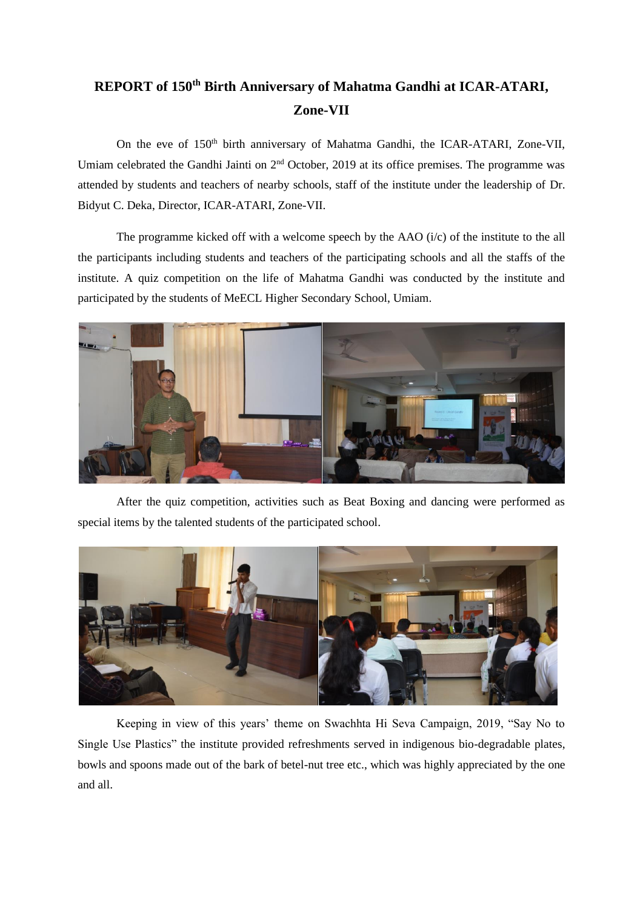## **REPORT of 150th Birth Anniversary of Mahatma Gandhi at ICAR-ATARI, Zone-VII**

On the eve of 150<sup>th</sup> birth anniversary of Mahatma Gandhi, the ICAR-ATARI, Zone-VII, Umiam celebrated the Gandhi Jainti on 2<sup>nd</sup> October, 2019 at its office premises. The programme was attended by students and teachers of nearby schools, staff of the institute under the leadership of Dr. Bidyut C. Deka, Director, ICAR-ATARI, Zone-VII.

The programme kicked off with a welcome speech by the AAO (i/c) of the institute to the all the participants including students and teachers of the participating schools and all the staffs of the institute. A quiz competition on the life of Mahatma Gandhi was conducted by the institute and participated by the students of MeECL Higher Secondary School, Umiam.



After the quiz competition, activities such as Beat Boxing and dancing were performed as special items by the talented students of the participated school.



Keeping in view of this years' theme on Swachhta Hi Seva Campaign, 2019, "Say No to Single Use Plastics" the institute provided refreshments served in indigenous bio-degradable plates, bowls and spoons made out of the bark of betel-nut tree etc., which was highly appreciated by the one and all.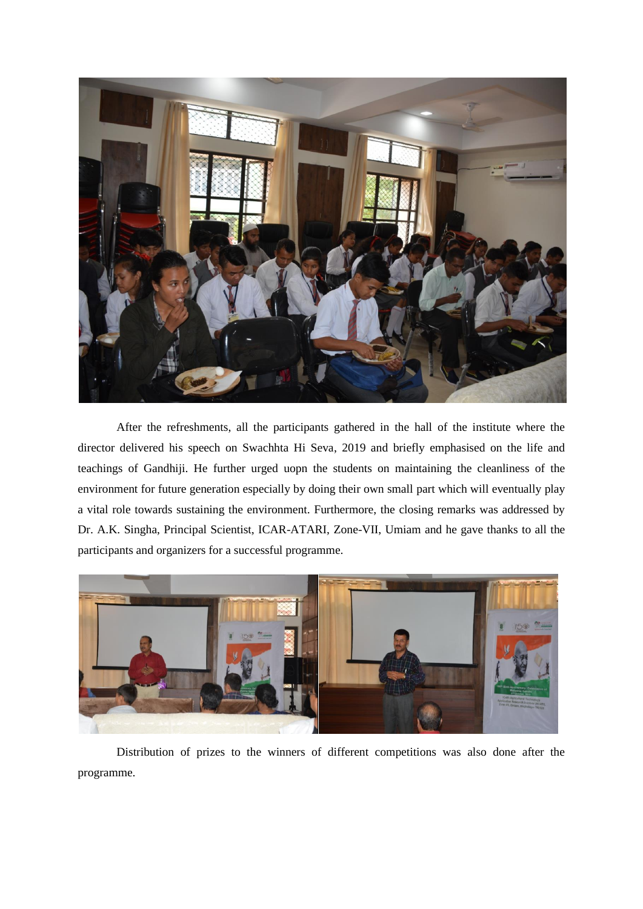

After the refreshments, all the participants gathered in the hall of the institute where the director delivered his speech on Swachhta Hi Seva, 2019 and briefly emphasised on the life and teachings of Gandhiji. He further urged uopn the students on maintaining the cleanliness of the environment for future generation especially by doing their own small part which will eventually play a vital role towards sustaining the environment. Furthermore, the closing remarks was addressed by Dr. A.K. Singha, Principal Scientist, ICAR-ATARI, Zone-VII, Umiam and he gave thanks to all the participants and organizers for a successful programme.



Distribution of prizes to the winners of different competitions was also done after the programme.